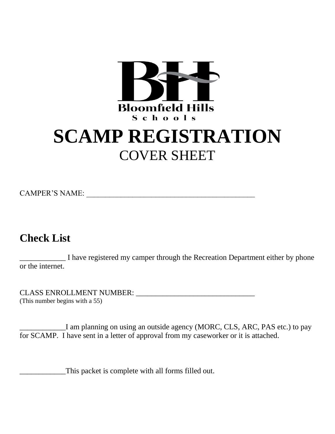

# **SCAMP REGISTRATION**  COVER SHEET

# CAMPER'S NAME: \_\_\_\_\_\_\_\_\_\_\_\_\_\_\_\_\_\_\_\_\_\_\_\_\_\_\_\_\_\_\_\_\_\_\_\_\_\_\_\_\_\_\_\_

# **Check List**

I have registered my camper through the Recreation Department either by phone or the internet.

CLASS ENROLLMENT NUMBER: \_\_\_\_\_\_\_\_\_\_\_\_\_\_\_\_\_\_\_\_\_\_\_\_\_\_\_\_\_\_\_ (This number begins with a 55)

I am planning on using an outside agency (MORC, CLS, ARC, PAS etc.) to pay for SCAMP. I have sent in a letter of approval from my caseworker or it is attached.

\_\_\_\_\_\_\_\_\_\_\_\_This packet is complete with all forms filled out.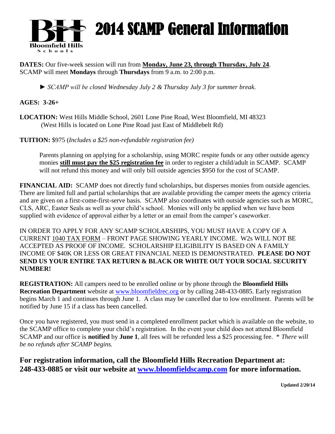

# 2014 SCAMP General Information

**DATES:** Our five-week session will run from **Monday, June 23, through Thursday, July 24**. SCAMP will meet **Mondays** through **Thursdays** from 9 a.m. to 2:00 p.m.

*► SCAMP will be closed Wednesday July 2 & Thursday July 3 for summer break.*

# **AGES: 3-26+**

**LOCATION:** West Hills Middle School, 2601 Lone Pine Road, West Bloomfield, MI 48323 (West Hills is located on Lone Pine Road just East of Middlebelt Rd)

**TUITION:** \$975 (*Includes a \$25 non-refundable registration fee)*

Parents planning on applying for a scholarship, using MORC respite funds or any other outside agency monies **still must pay the \$25 registration fee** in order to register a child/adult in SCAMP. SCAMP will not refund this money and will only bill outside agencies \$950 for the cost of SCAMP.

**FINANCIAL AID:** SCAMP does not directly fund scholarships, but disperses monies from outside agencies. There are limited full and partial scholarships that are available providing the camper meets the agency criteria and are given on a first-come-first-serve basis. SCAMP also coordinates with outside agencies such as MORC, CLS, ARC, Easter Seals as well as your child's school. Monies will only be applied when we have been supplied with evidence of approval either by a letter or an email from the camper's caseworker.

IN ORDER TO APPLY FOR ANY SCAMP SCHOLARSHIPS, YOU MUST HAVE A COPY OF A CURRENT 1040 TAX FORM – FRONT PAGE SHOWING YEARLY INCOME. W2s WILL NOT BE ACCEPTED AS PROOF OF INCOME. SCHOLARSHIP ELIGIBILITY IS BASED ON A FAMILY INCOME OF \$40K OR LESS OR GREAT FINANCIAL NEED IS DEMONSTRATED. **PLEASE DO NOT SEND US YOUR ENTIRE TAX RETURN & BLACK OR WHITE OUT YOUR SOCIAL SECURITY NUMBER!**

**REGISTRATION:** All campers need to be enrolled online or by phone through the **Bloomfield Hills Recreation Department** website at [www.bloomfieldrec.org](http://www.bloomfieldrec.org/) or by calling 248-433-0885. Early registration begins March 1 and continues through June 1. A class may be cancelled due to low enrollment. Parents will be notified by June 15 if a class has been cancelled.

Once you have registered, you must send in a completed enrollment packet which is available on the website, to the SCAMP office to complete your child's registration. In the event your child does not attend Bloomfield SCAMP and our office is **notified** by **June 1**, all fees will be refunded less a \$25 processing fee. \* *There will be no refunds after SCAMP begins.*

**For registration information, call the Bloomfield Hills Recreation Department at: 248-433-0885 or visit our website at [www.bloomfieldscamp.com](http://www.bloomfieldscamp.com/) for more information.**

**Updated 2/20/14**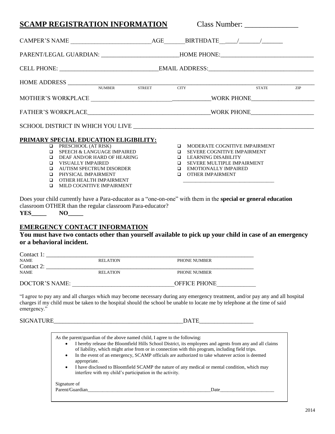#### **SCAMP REGISTRATION INFORMATION** Class Number: \_\_\_\_\_\_\_\_\_\_\_\_\_\_\_\_\_\_\_\_\_\_\_\_\_\_\_\_\_\_\_\_\_\_\_ CAMPER'S NAME \_\_\_\_\_\_\_\_\_\_\_\_\_\_\_\_\_\_\_\_\_\_\_\_\_\_\_AGE\_\_\_\_\_\_\_BIRTHDATE\_\_\_\_\_\_/\_\_\_\_\_\_\_/\_\_\_\_\_\_\_ PARENT/LEGAL GUARDIAN: HOME PHONE: CELL PHONE: \_\_\_\_\_\_\_\_\_\_\_\_\_\_\_\_\_\_\_\_\_\_\_\_\_\_\_\_\_\_\_\_\_EMAIL ADDRESS:\_\_\_\_\_\_\_\_\_\_\_\_\_\_\_\_\_\_\_\_\_\_\_\_\_\_\_\_\_\_\_\_\_\_\_ HOME ADDRESS \_\_\_\_\_\_\_\_\_\_\_\_\_\_\_\_\_\_\_\_\_\_\_\_\_\_\_\_\_\_\_\_\_\_\_\_\_\_\_\_\_\_\_\_\_\_\_\_\_\_\_\_\_\_\_\_\_\_\_\_\_\_\_\_\_\_\_\_\_\_\_\_\_\_\_\_\_\_\_\_\_\_ NUMBER STREET CITY STATE ZIP MOTHER'S WORKPLACE \_\_\_\_\_\_\_\_\_\_\_\_\_\_\_\_\_\_\_\_\_\_\_\_\_\_\_\_\_\_\_\_\_\_\_\_\_\_\_\_WORK PHONE\_\_\_\_\_\_\_\_\_\_\_\_\_\_\_\_\_\_\_\_\_ FATHER'S WORKPLACE WORK PHONE SCHOOL DISTRICT IN WHICH YOU LIVE \_\_\_\_\_\_\_\_\_\_\_\_\_\_\_\_\_\_\_\_\_\_\_\_\_\_\_\_\_\_\_\_\_\_\_\_\_\_\_\_\_\_\_\_\_\_\_\_\_\_\_\_\_\_\_\_\_\_\_\_ **PRIMARY SPECIAL EDUCATION ELIGIBILITY: D** PRESCHOOL (AT RISK) **Q** SPEECH & LANGUAGE IMPAIRED DEAF AND/OR HARD OF HEARING VISUALLY IMPAIRED AUTISM SPECTRUM DISORDER **Q** PHYSICAL IMPAIRMENT OTHER HEALTH IMPAIRMENT **IN MILD COGNITIVE IMPAIRMENT IN MODERATE COGNITIVE IMPAIRMENT Q** SEVERE COGNITIVE IMPAIRMENT **Q** LEARNING DISABILITY **Q** SEVERE MULTIPLE IMPAIRMENT EMOTIONALLY IMPAIRED **OTHER IMPAIRMENT** \_\_\_\_\_\_\_\_\_\_\_\_\_\_\_\_\_\_\_\_\_\_\_\_\_\_\_\_\_\_\_\_\_\_\_\_\_

Does your child currently have a Para-educator as a "one-on-one" with them in the **special or general education** classroom OTHER than the regular classroom Para-educator? **YES\_\_\_\_\_ NO\_\_\_\_\_**

### **EMERGENCY CONTACT INFORMATION**

#### **You must have two contacts other than yourself available to pick up your child in case of an emergency or a behavioral incident.**

| Contact 1:     |                 |                     |  |
|----------------|-----------------|---------------------|--|
| <b>NAME</b>    | <b>RELATION</b> | PHONE NUMBER        |  |
| Contact 2:     |                 |                     |  |
| <b>NAME</b>    | <b>RELATION</b> | <b>PHONE NUMBER</b> |  |
| DOCTOR'S NAME: |                 | <b>OFFICE PHONE</b> |  |

"I agree to pay any and all charges which may become necessary during any emergency treatment, and/or pay any and all hospital charges if my child must be taken to the hospital should the school be unable to locate me by telephone at the time of said emergency."

SIGNATURE\_\_\_\_\_\_\_\_\_\_\_\_\_\_\_\_\_\_\_\_\_\_\_\_\_\_\_\_\_\_\_\_\_\_\_\_\_\_\_\_\_\_\_DATE\_\_\_\_\_\_\_\_\_\_\_\_\_\_\_\_\_\_

| As the parent/guardian of the above named child, I agree to the following:<br>٠<br>of liability, which might arise from or in connection with this program, including field trips.<br>$\bullet$<br>appropriate.<br>$\bullet$<br>interfere with my child's participation in the activity. | I hereby release the Bloomfield Hills School District, its employees and agents from any and all claims<br>In the event of an emergency, SCAMP officials are authorized to take whatever action is deemed<br>I have disclosed to Bloomfield SCAMP the nature of any medical or mental condition, which may |
|------------------------------------------------------------------------------------------------------------------------------------------------------------------------------------------------------------------------------------------------------------------------------------------|------------------------------------------------------------------------------------------------------------------------------------------------------------------------------------------------------------------------------------------------------------------------------------------------------------|
| Signature of                                                                                                                                                                                                                                                                             |                                                                                                                                                                                                                                                                                                            |
| Parent/Guardian                                                                                                                                                                                                                                                                          | Date                                                                                                                                                                                                                                                                                                       |
|                                                                                                                                                                                                                                                                                          |                                                                                                                                                                                                                                                                                                            |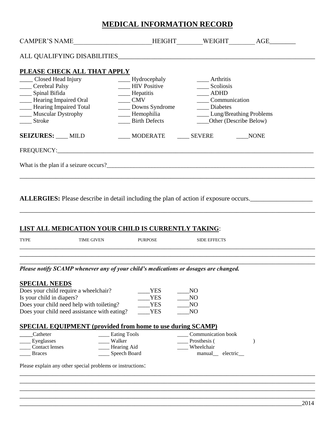# **MEDICAL INFORMATION RECORD**

| <b>CAMPER'S NAME</b><br><u> 1989 - Johann Barbara, martxa al</u>                                                                                                                                                                                        | <b>HEIGHT</b>                                                                              | WEIGHT                                                             | AGE         |
|---------------------------------------------------------------------------------------------------------------------------------------------------------------------------------------------------------------------------------------------------------|--------------------------------------------------------------------------------------------|--------------------------------------------------------------------|-------------|
| ALL QUALIFYING DISABILITIES AND THE RESERVE TO A THEFT OF THE RESERVE TO A THE RESERVE TO A THE RESERVE TO A TH                                                                                                                                         |                                                                                            |                                                                    |             |
| PLEASE CHECK ALL THAT APPLY<br>Closed Head Injury<br>Cerebral Palsy<br>___ Spinal Bifida<br>- Hearing Impaired Oral<br>- Hearing Impaired Total                                                                                                         | ____ Hydrocephaly<br><b>HIV</b> Positive<br>____ Hepatitis<br><b>CMV</b><br>Downs Syndrome | Arthritis<br>Scoliosis<br><b>ADHD</b><br>Communication<br>Diabetes |             |
| ____ Muscular Dystrophy<br>Stroke                                                                                                                                                                                                                       | - Hemophilia<br><b>Example 1</b> Birth Defects                                             | <b>Lung/Breathing Problems</b><br>Other (Describe Below)           |             |
| <b>SEIZURES:</b> MILD<br>FREQUENCY: The contract of the contract of the contract of the contract of the contract of the contract of the contract of the contract of the contract of the contract of the contract of the contract of the contract of the | MODERATE                                                                                   | SEVERE                                                             | <b>NONE</b> |
| What is the plan if a seizure occurs?                                                                                                                                                                                                                   |                                                                                            |                                                                    |             |
| <b>ALLERGIES:</b> Please describe in detail including the plan of action if exposure occurs.                                                                                                                                                            |                                                                                            |                                                                    |             |

**LIST ALL MEDICATION YOUR CHILD IS CURRENTLY TAKING**:

| <b>TYPE</b> | <b>TIME GIVEN</b> | <b>PURPOSE</b> | <b>SIDE EFFECTS</b>                                                                  |  |
|-------------|-------------------|----------------|--------------------------------------------------------------------------------------|--|
|             |                   |                | Please notify SCAMP whenever any of your child's medications or dosages are changed. |  |

\_\_\_\_\_\_\_\_\_\_\_\_\_\_\_\_\_\_\_\_\_\_\_\_\_\_\_\_\_\_\_\_\_\_\_\_\_\_\_\_\_\_\_\_\_\_\_\_\_\_\_\_\_\_\_\_\_\_\_\_\_\_\_\_\_\_\_\_\_\_\_\_\_\_\_\_\_\_\_\_\_\_\_\_\_\_\_\_\_\_ \_\_\_\_\_\_\_\_\_\_\_\_\_\_\_\_\_\_\_\_\_\_\_\_\_\_\_\_\_\_\_\_\_\_\_\_\_\_\_\_\_\_\_\_\_\_\_\_\_\_\_\_\_\_\_\_\_\_\_\_\_\_\_\_\_\_\_\_\_\_\_\_\_\_\_\_\_\_\_\_\_\_\_\_\_\_\_\_\_\_ \_\_\_\_\_\_\_\_\_\_\_\_\_\_\_\_\_\_\_\_\_\_\_\_\_\_\_\_\_\_\_\_\_\_\_\_\_\_\_\_\_\_\_\_\_\_\_\_\_\_\_\_\_\_\_\_\_\_\_\_\_\_\_\_\_\_\_\_\_\_\_\_\_\_\_\_\_\_\_\_\_\_\_\_\_\_\_\_\_\_ \_\_\_\_\_\_\_\_\_\_\_\_\_\_\_\_\_\_\_\_\_\_\_\_\_\_\_\_\_\_\_\_\_\_\_\_\_\_\_\_\_\_\_\_\_\_\_\_\_\_\_\_\_\_\_\_\_\_\_\_\_\_\_\_\_\_\_\_\_\_\_\_\_\_\_\_\_\_\_\_\_\_\_\_\_\_\_\_\_\_

\_\_\_\_\_\_\_\_\_\_\_\_\_\_\_\_\_\_\_\_\_\_\_\_\_\_\_\_\_\_\_\_\_\_\_\_\_\_\_\_\_\_\_\_\_\_\_\_\_\_\_\_\_\_\_\_\_\_\_\_\_\_\_\_\_\_\_\_\_\_\_\_\_\_\_\_\_\_\_\_\_\_\_\_\_\_\_\_\_\_

| Does your child require a wheelchair?        | YES | NO. |
|----------------------------------------------|-----|-----|
| Is your child in diapers?                    | YES | NO. |
| Does your child need help with toileting?    | YES | NO. |
| Does your child need assistance with eating? | YES | NO. |

## **SPECIAL EQUIPMENT (provided from home to use during SCAMP)**

| Catheter              | <b>Eating Tools</b> | Communication book |
|-----------------------|---------------------|--------------------|
| Eyeglasses            | Walker              | Prosthesis (       |
| <b>Contact lenses</b> | Hearing Aid         | Wheelchair         |
| <b>Braces</b>         | Speech Board        | electric<br>manual |

Please explain any other special problems or instructions: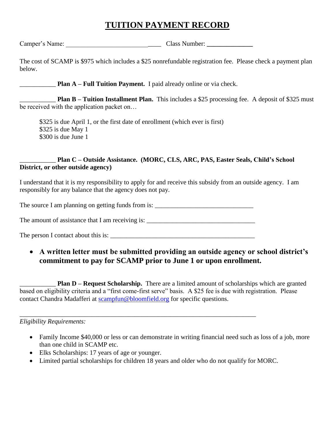# **TUITION PAYMENT RECORD**

Camper's Name: Camper's Name:

The cost of SCAMP is \$975 which includes a \$25 nonrefundable registration fee. Please check a payment plan below.

**Plan A – Full Tuition Payment.** I paid already online or via check.

**Plan B – Tuition Installment Plan.** This includes a \$25 processing fee. A deposit of \$325 must be received with the application packet on…

\$325 is due April 1, or the first date of enrollment (which ever is first) \$325 is due May 1 \$300 is due June 1

## \_\_\_\_\_\_\_\_\_\_\_ **Plan C – Outside Assistance. (MORC, CLS, ARC, PAS, Easter Seals, Child's School District, or other outside agency)**

I understand that it is my responsibility to apply for and receive this subsidy from an outside agency. I am responsibly for any balance that the agency does not pay.

The source I am planning on getting funds from is: \_\_\_\_\_\_\_\_\_\_\_\_\_\_\_\_\_\_\_\_\_\_\_\_\_\_\_\_\_\_

The amount of assistance that I am receiving is:

\_\_\_\_\_\_\_\_\_\_\_\_\_\_\_\_\_\_\_\_\_\_\_\_\_\_\_\_\_\_\_\_\_\_\_\_\_\_\_\_\_\_\_\_\_\_\_\_\_\_\_\_\_\_\_\_\_\_\_\_\_\_\_\_\_\_\_\_\_\_\_\_

The person I contact about this is: \_\_\_\_\_\_\_\_\_\_\_\_\_\_\_\_\_\_\_\_\_\_\_\_\_\_\_\_\_\_\_\_\_\_\_\_\_\_\_\_\_\_\_\_

 **A written letter must be submitted providing an outside agency or school district's commitment to pay for SCAMP prior to June 1 or upon enrollment.**

\_\_\_\_\_\_\_\_\_\_\_ **Plan D – Request Scholarship.** There are a limited amount of scholarships which are granted based on eligibility criteria and a "first come-first serve" basis. A \$25 fee is due with registration. Please contact Chandra Madafferi at [scampfun@bloomfield.org](mailto:scampfun@bloomfield.org) for specific questions.

*Eligibility Requirements:*

- Family Income \$40,000 or less or can demonstrate in writing financial need such as loss of a job, more than one child in SCAMP etc.
- Elks Scholarships: 17 years of age or younger.
- Limited partial scholarships for children 18 years and older who do not qualify for MORC.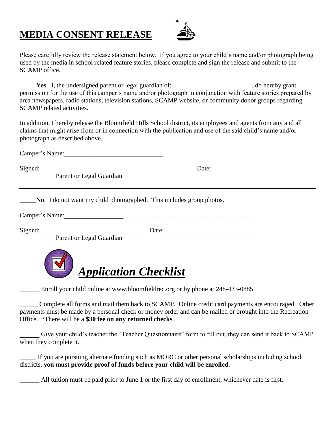# **MEDIA CONSENT RELEASE**



Please carefully review the release statement below. If you agree to your child's name and/or photograph being used by the media in school related feature stories, please complete and sign the release and submit to the SCAMP office.

**Yes**. I, the undersigned parent or legal guardian of: \_\_\_\_\_\_\_\_\_\_\_\_\_\_\_\_\_\_\_\_, do hereby grant permission for the use of this camper's name and/or photograph in conjunction with feature stories prepared by area newspapers, radio stations, television stations, SCAMP website, or community donor groups regarding SCAMP related activities.

In addition, I hereby release the Bloomfield Hills School district, its employees and agents from any and all claims that might arise from or in connection with the publication and use of the said child's name and/or photograph as described above.

Camper's Name:

 $Sigma: \text{Speed:}\_\_$ 

Parent or Legal Guardian

No. I do not want my child photographed. This includes group photos.

Camper's Name:\_\_\_\_\_\_\_\_\_\_\_\_\_\_\_\_\_\_\_\_\_\_\_\_\_\_\_\_\_\_\_\_\_\_\_\_\_\_\_\_\_\_\_\_\_\_\_\_\_\_\_\_\_\_\_\_\_\_

Signed:\_\_\_\_\_\_\_\_\_\_\_\_\_\_\_\_\_\_\_\_\_\_\_\_\_\_\_\_\_\_\_\_\_ Date:\_\_\_\_\_\_\_\_\_\_\_\_\_\_\_\_\_\_\_\_\_\_\_\_\_\_\_\_

Parent or Legal Guardian



Enroll your child online at www.bloomfieldrec.org or by phone at 248-433-0885

\_\_\_\_\_\_Complete all forms and mail them back to SCAMP. Online credit card payments are encouraged. Other payments must be made by a personal check or money order and can be mailed or brought into the Recreation Office. \*There will be a **\$30 fee on any returned checks**.

Give your child's teacher the "Teacher Questionnaire" form to fill out, they can send it back to SCAMP when they complete it.

If you are pursuing alternate funding such as MORC or other personal scholarships including school districts, **you must provide proof of funds before your child will be enrolled.**

\_\_\_\_\_\_ All tuition must be paid prior to June 1 or the first day of enrollment, whichever date is first.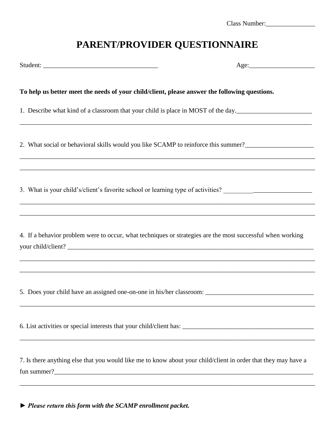| Class Number: |
|---------------|
|---------------|

# **PARENT/PROVIDER QUESTIONNAIRE**

|                                                                                               | Age:                                                                                                                                                                                                                                    |
|-----------------------------------------------------------------------------------------------|-----------------------------------------------------------------------------------------------------------------------------------------------------------------------------------------------------------------------------------------|
| To help us better meet the needs of your child/client, please answer the following questions. |                                                                                                                                                                                                                                         |
|                                                                                               | 1. Describe what kind of a classroom that your child is place in MOST of the day.                                                                                                                                                       |
|                                                                                               | 2. What social or behavioral skills would you like SCAMP to reinforce this summer?__________________                                                                                                                                    |
|                                                                                               |                                                                                                                                                                                                                                         |
|                                                                                               | 4. If a behavior problem were to occur, what techniques or strategies are the most successful when working                                                                                                                              |
|                                                                                               |                                                                                                                                                                                                                                         |
|                                                                                               |                                                                                                                                                                                                                                         |
|                                                                                               | 7. Is there anything else that you would like me to know about your child/client in order that they may have a<br><u> 1989 - Johann Stoff, deutscher Stoffen und der Stoffen und der Stoffen und der Stoffen und der Stoffen und de</u> |

*► Please return this form with the SCAMP enrollment packet.*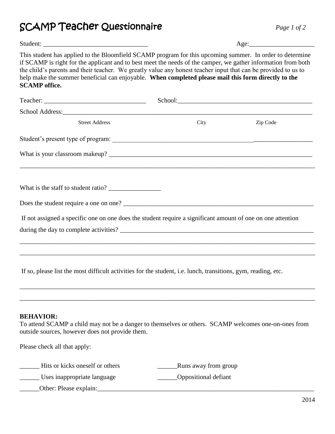SCAMP Teacher Questionnaire *Page 1 of 2*

| г |  |  |
|---|--|--|
|   |  |  |

|                                                                                                                                                                                                                                                                                                                                                                                                                                                                            | Age: |          |  |
|----------------------------------------------------------------------------------------------------------------------------------------------------------------------------------------------------------------------------------------------------------------------------------------------------------------------------------------------------------------------------------------------------------------------------------------------------------------------------|------|----------|--|
| This student has applied to the Bloomfield SCAMP program for this upcoming summer. In order to determine<br>if SCAMP is right for the applicant and to best meet the needs of the camper, we gather information from both<br>the child's parents and their teacher. We greatly value any honest teacher input that can be provided to us to<br>help make the summer beneficial can enjoyable. When completed please mail this form directly to the<br><b>SCAMP</b> office. |      |          |  |
|                                                                                                                                                                                                                                                                                                                                                                                                                                                                            |      |          |  |
|                                                                                                                                                                                                                                                                                                                                                                                                                                                                            |      |          |  |
| <b>Street Address</b>                                                                                                                                                                                                                                                                                                                                                                                                                                                      | City | Zip Code |  |
|                                                                                                                                                                                                                                                                                                                                                                                                                                                                            |      |          |  |
|                                                                                                                                                                                                                                                                                                                                                                                                                                                                            |      |          |  |
| If not assigned a specific one on one does the student require a significant amount of one on one attention                                                                                                                                                                                                                                                                                                                                                                |      |          |  |
| If so, please list the most difficult activities for the student, i.e. lunch, transitions, gym, reading, etc.                                                                                                                                                                                                                                                                                                                                                              |      |          |  |
|                                                                                                                                                                                                                                                                                                                                                                                                                                                                            |      |          |  |

## **BEHAVIOR:**

To attend SCAMP a child may not be a danger to themselves or others. SCAMP welcomes one-on-ones from outside sources, however does not provide them.

Please check all that apply:

| Hits or kicks oneself or others | Runs away from group |
|---------------------------------|----------------------|
| Uses inappropriate language     | Oppositional defiant |
| Other: Please explain:          |                      |